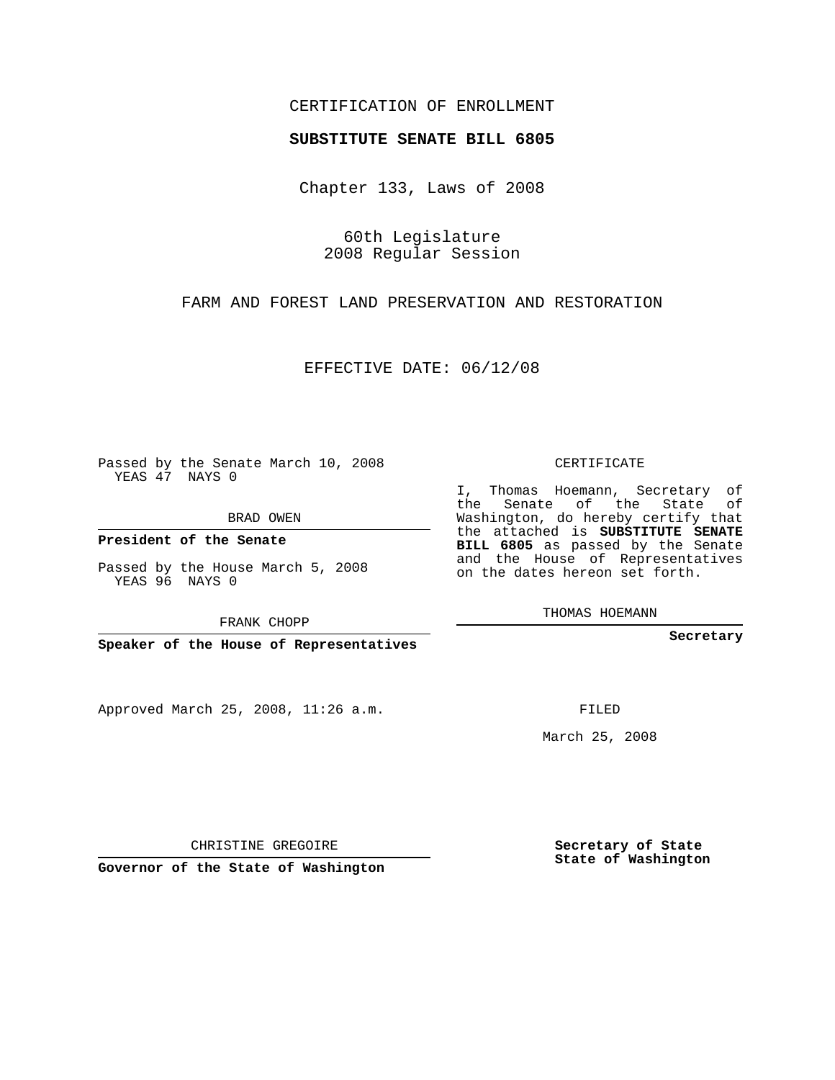## CERTIFICATION OF ENROLLMENT

### **SUBSTITUTE SENATE BILL 6805**

Chapter 133, Laws of 2008

60th Legislature 2008 Regular Session

FARM AND FOREST LAND PRESERVATION AND RESTORATION

EFFECTIVE DATE: 06/12/08

Passed by the Senate March 10, 2008 YEAS 47 NAYS 0

BRAD OWEN

**President of the Senate**

Passed by the House March 5, 2008 YEAS 96 NAYS 0

FRANK CHOPP

**Speaker of the House of Representatives**

Approved March 25, 2008, 11:26 a.m.

CERTIFICATE

I, Thomas Hoemann, Secretary of the Senate of the State of Washington, do hereby certify that the attached is **SUBSTITUTE SENATE BILL 6805** as passed by the Senate and the House of Representatives on the dates hereon set forth.

THOMAS HOEMANN

**Secretary**

FILED

March 25, 2008

**Secretary of State State of Washington**

CHRISTINE GREGOIRE

**Governor of the State of Washington**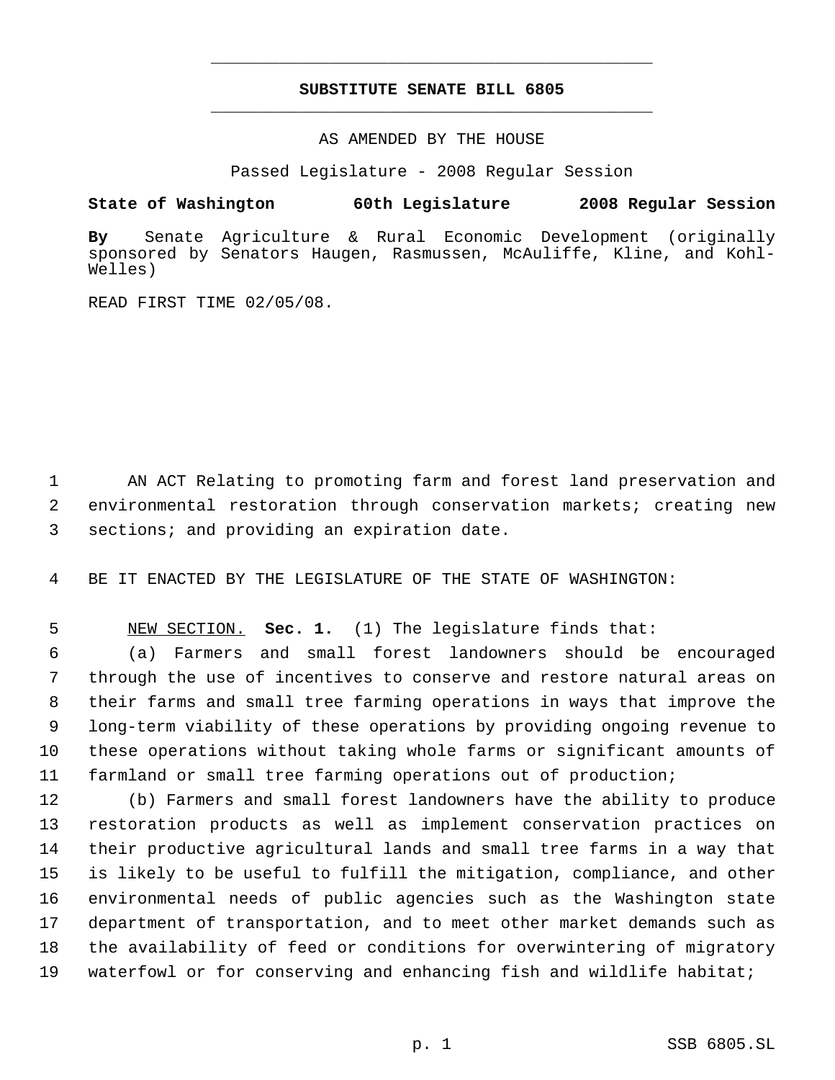# **SUBSTITUTE SENATE BILL 6805** \_\_\_\_\_\_\_\_\_\_\_\_\_\_\_\_\_\_\_\_\_\_\_\_\_\_\_\_\_\_\_\_\_\_\_\_\_\_\_\_\_\_\_\_\_

\_\_\_\_\_\_\_\_\_\_\_\_\_\_\_\_\_\_\_\_\_\_\_\_\_\_\_\_\_\_\_\_\_\_\_\_\_\_\_\_\_\_\_\_\_

AS AMENDED BY THE HOUSE

Passed Legislature - 2008 Regular Session

### **State of Washington 60th Legislature 2008 Regular Session**

**By** Senate Agriculture & Rural Economic Development (originally sponsored by Senators Haugen, Rasmussen, McAuliffe, Kline, and Kohl-Welles)

READ FIRST TIME 02/05/08.

 AN ACT Relating to promoting farm and forest land preservation and environmental restoration through conservation markets; creating new sections; and providing an expiration date.

BE IT ENACTED BY THE LEGISLATURE OF THE STATE OF WASHINGTON:

NEW SECTION. **Sec. 1.** (1) The legislature finds that:

 (a) Farmers and small forest landowners should be encouraged through the use of incentives to conserve and restore natural areas on their farms and small tree farming operations in ways that improve the long-term viability of these operations by providing ongoing revenue to these operations without taking whole farms or significant amounts of farmland or small tree farming operations out of production;

 (b) Farmers and small forest landowners have the ability to produce restoration products as well as implement conservation practices on their productive agricultural lands and small tree farms in a way that is likely to be useful to fulfill the mitigation, compliance, and other environmental needs of public agencies such as the Washington state department of transportation, and to meet other market demands such as the availability of feed or conditions for overwintering of migratory waterfowl or for conserving and enhancing fish and wildlife habitat;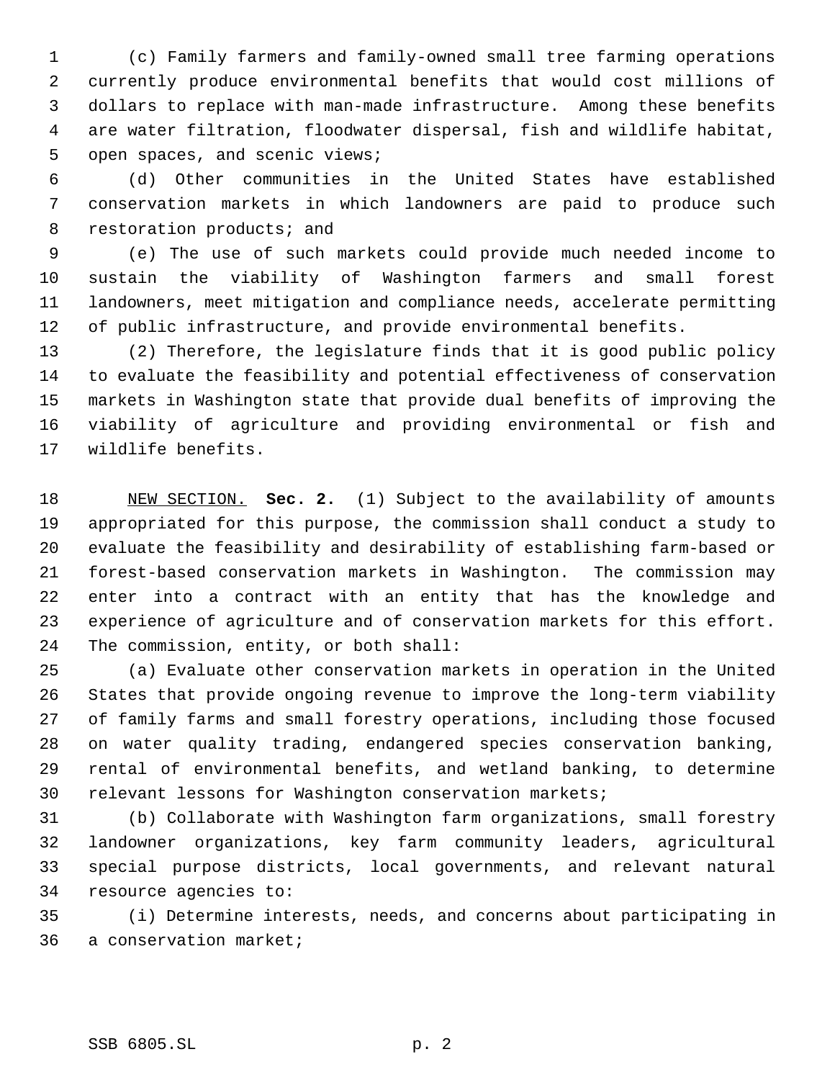(c) Family farmers and family-owned small tree farming operations currently produce environmental benefits that would cost millions of dollars to replace with man-made infrastructure. Among these benefits are water filtration, floodwater dispersal, fish and wildlife habitat, open spaces, and scenic views;

 (d) Other communities in the United States have established conservation markets in which landowners are paid to produce such 8 restoration products; and

 (e) The use of such markets could provide much needed income to sustain the viability of Washington farmers and small forest landowners, meet mitigation and compliance needs, accelerate permitting of public infrastructure, and provide environmental benefits.

 (2) Therefore, the legislature finds that it is good public policy to evaluate the feasibility and potential effectiveness of conservation markets in Washington state that provide dual benefits of improving the viability of agriculture and providing environmental or fish and wildlife benefits.

 NEW SECTION. **Sec. 2.** (1) Subject to the availability of amounts appropriated for this purpose, the commission shall conduct a study to evaluate the feasibility and desirability of establishing farm-based or forest-based conservation markets in Washington. The commission may enter into a contract with an entity that has the knowledge and experience of agriculture and of conservation markets for this effort. The commission, entity, or both shall:

 (a) Evaluate other conservation markets in operation in the United States that provide ongoing revenue to improve the long-term viability of family farms and small forestry operations, including those focused on water quality trading, endangered species conservation banking, rental of environmental benefits, and wetland banking, to determine relevant lessons for Washington conservation markets;

 (b) Collaborate with Washington farm organizations, small forestry landowner organizations, key farm community leaders, agricultural special purpose districts, local governments, and relevant natural resource agencies to:

 (i) Determine interests, needs, and concerns about participating in a conservation market;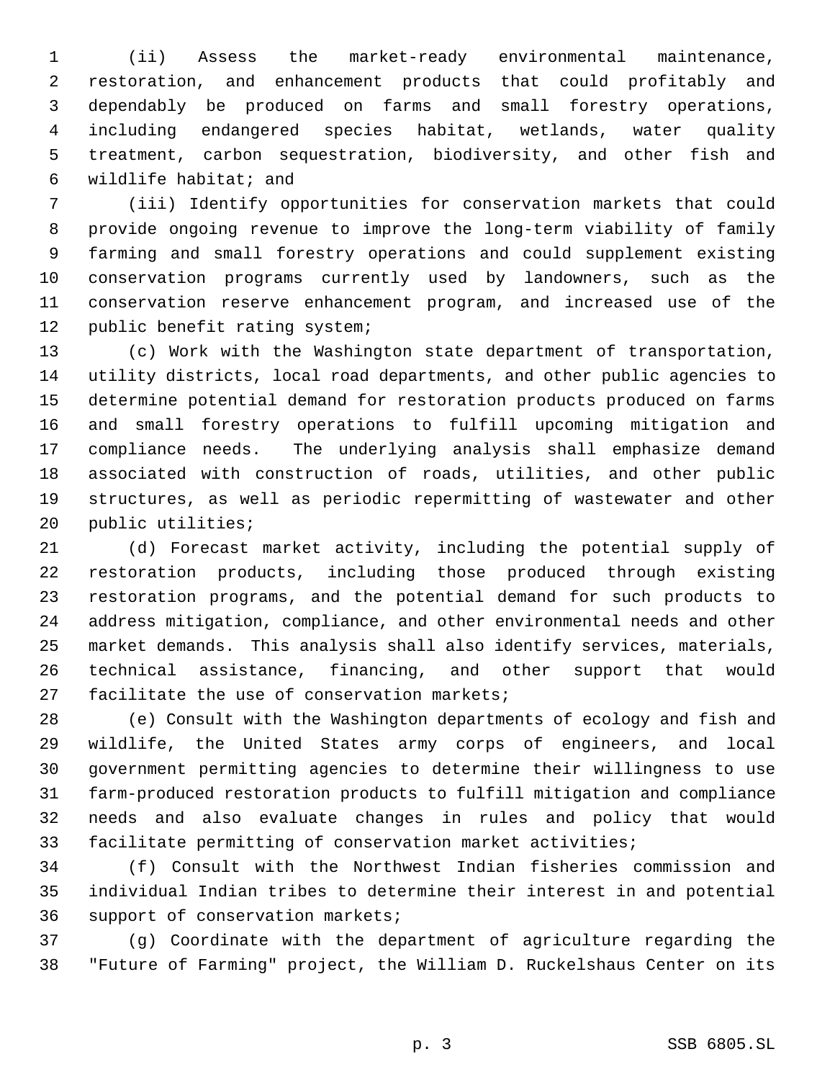(ii) Assess the market-ready environmental maintenance, restoration, and enhancement products that could profitably and dependably be produced on farms and small forestry operations, including endangered species habitat, wetlands, water quality treatment, carbon sequestration, biodiversity, and other fish and wildlife habitat; and

 (iii) Identify opportunities for conservation markets that could provide ongoing revenue to improve the long-term viability of family farming and small forestry operations and could supplement existing conservation programs currently used by landowners, such as the conservation reserve enhancement program, and increased use of the public benefit rating system;

 (c) Work with the Washington state department of transportation, utility districts, local road departments, and other public agencies to determine potential demand for restoration products produced on farms and small forestry operations to fulfill upcoming mitigation and compliance needs. The underlying analysis shall emphasize demand associated with construction of roads, utilities, and other public structures, as well as periodic repermitting of wastewater and other public utilities;

 (d) Forecast market activity, including the potential supply of restoration products, including those produced through existing restoration programs, and the potential demand for such products to address mitigation, compliance, and other environmental needs and other market demands. This analysis shall also identify services, materials, technical assistance, financing, and other support that would facilitate the use of conservation markets;

 (e) Consult with the Washington departments of ecology and fish and wildlife, the United States army corps of engineers, and local government permitting agencies to determine their willingness to use farm-produced restoration products to fulfill mitigation and compliance needs and also evaluate changes in rules and policy that would facilitate permitting of conservation market activities;

 (f) Consult with the Northwest Indian fisheries commission and individual Indian tribes to determine their interest in and potential support of conservation markets;

 (g) Coordinate with the department of agriculture regarding the "Future of Farming" project, the William D. Ruckelshaus Center on its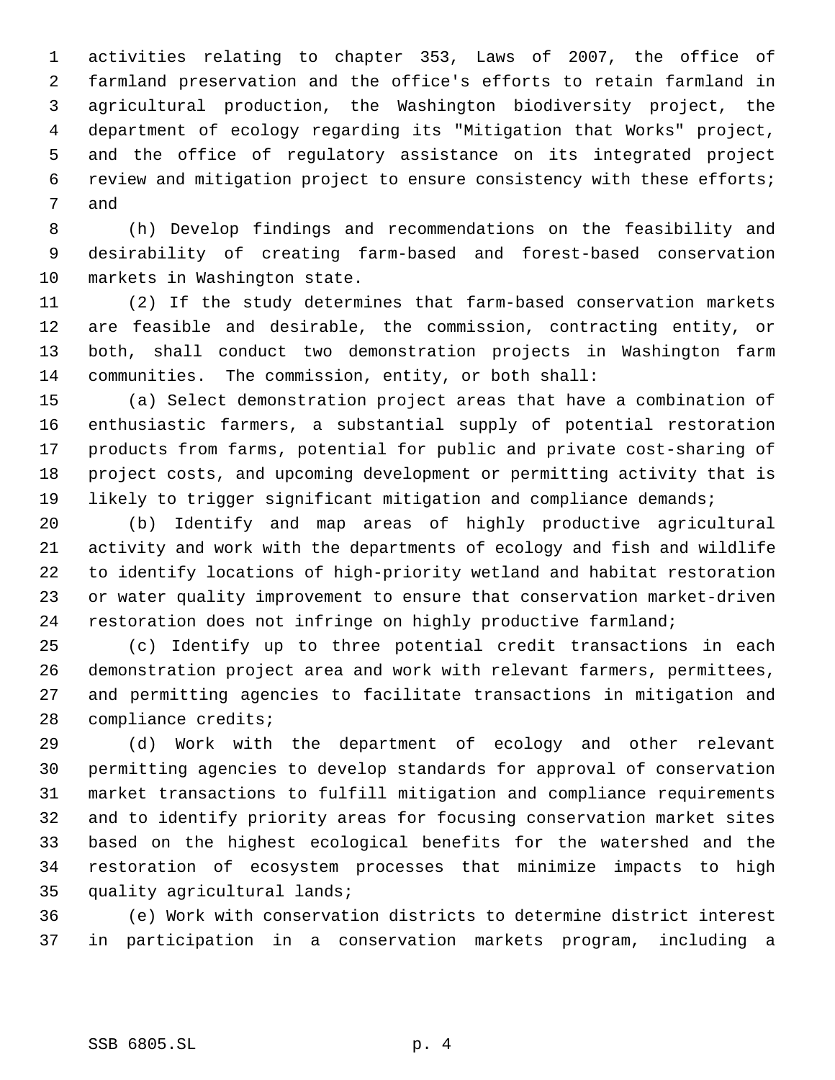activities relating to chapter 353, Laws of 2007, the office of farmland preservation and the office's efforts to retain farmland in agricultural production, the Washington biodiversity project, the department of ecology regarding its "Mitigation that Works" project, and the office of regulatory assistance on its integrated project review and mitigation project to ensure consistency with these efforts; and

 (h) Develop findings and recommendations on the feasibility and desirability of creating farm-based and forest-based conservation markets in Washington state.

 (2) If the study determines that farm-based conservation markets are feasible and desirable, the commission, contracting entity, or both, shall conduct two demonstration projects in Washington farm communities. The commission, entity, or both shall:

 (a) Select demonstration project areas that have a combination of enthusiastic farmers, a substantial supply of potential restoration products from farms, potential for public and private cost-sharing of project costs, and upcoming development or permitting activity that is 19 likely to trigger significant mitigation and compliance demands;

 (b) Identify and map areas of highly productive agricultural activity and work with the departments of ecology and fish and wildlife to identify locations of high-priority wetland and habitat restoration or water quality improvement to ensure that conservation market-driven restoration does not infringe on highly productive farmland;

 (c) Identify up to three potential credit transactions in each demonstration project area and work with relevant farmers, permittees, and permitting agencies to facilitate transactions in mitigation and compliance credits;

 (d) Work with the department of ecology and other relevant permitting agencies to develop standards for approval of conservation market transactions to fulfill mitigation and compliance requirements and to identify priority areas for focusing conservation market sites based on the highest ecological benefits for the watershed and the restoration of ecosystem processes that minimize impacts to high quality agricultural lands;

 (e) Work with conservation districts to determine district interest in participation in a conservation markets program, including a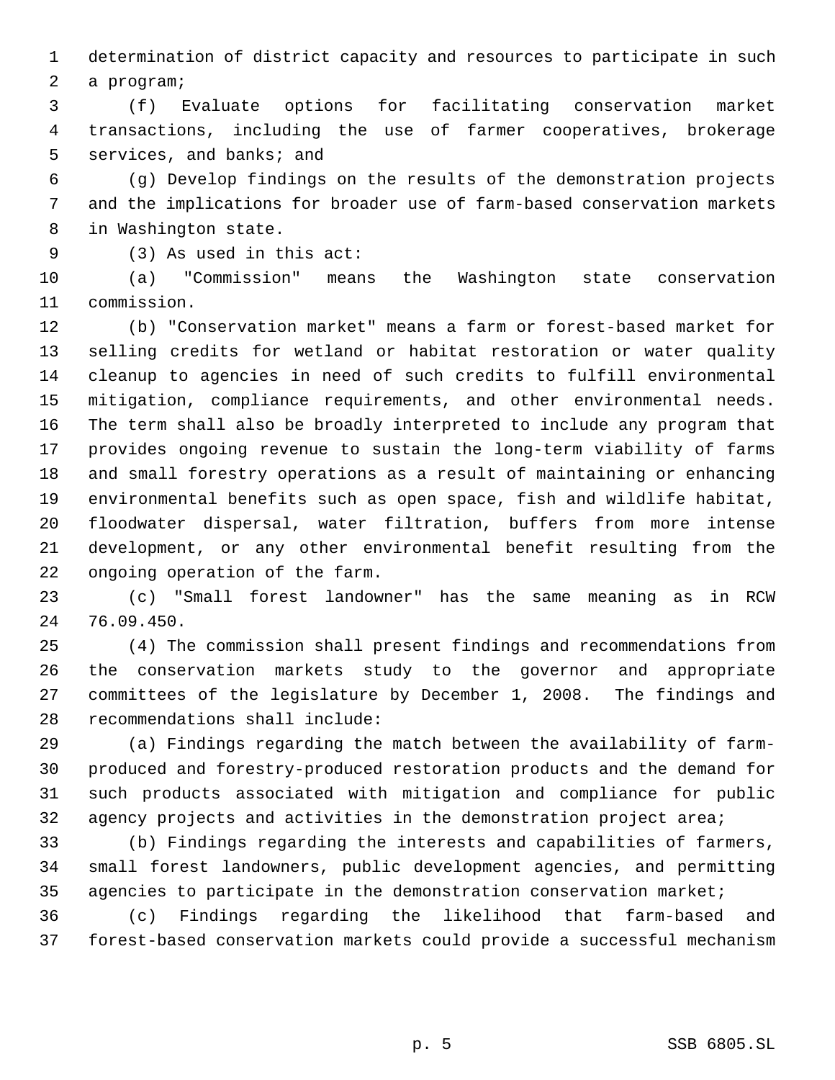determination of district capacity and resources to participate in such

a program;

 (f) Evaluate options for facilitating conservation market transactions, including the use of farmer cooperatives, brokerage services, and banks; and

 (g) Develop findings on the results of the demonstration projects and the implications for broader use of farm-based conservation markets in Washington state.

(3) As used in this act:

 (a) "Commission" means the Washington state conservation commission.

 (b) "Conservation market" means a farm or forest-based market for selling credits for wetland or habitat restoration or water quality cleanup to agencies in need of such credits to fulfill environmental mitigation, compliance requirements, and other environmental needs. The term shall also be broadly interpreted to include any program that provides ongoing revenue to sustain the long-term viability of farms and small forestry operations as a result of maintaining or enhancing environmental benefits such as open space, fish and wildlife habitat, floodwater dispersal, water filtration, buffers from more intense development, or any other environmental benefit resulting from the ongoing operation of the farm.

 (c) "Small forest landowner" has the same meaning as in RCW 76.09.450.

 (4) The commission shall present findings and recommendations from the conservation markets study to the governor and appropriate committees of the legislature by December 1, 2008. The findings and recommendations shall include:

 (a) Findings regarding the match between the availability of farm- produced and forestry-produced restoration products and the demand for such products associated with mitigation and compliance for public agency projects and activities in the demonstration project area;

 (b) Findings regarding the interests and capabilities of farmers, small forest landowners, public development agencies, and permitting agencies to participate in the demonstration conservation market;

 (c) Findings regarding the likelihood that farm-based and forest-based conservation markets could provide a successful mechanism